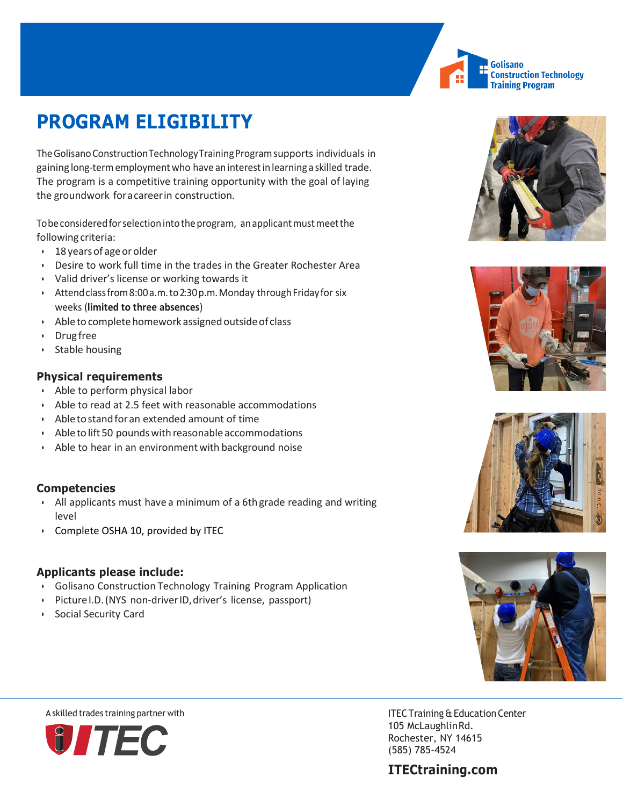

# **PROGRAM ELIGIBILITY**

The Golisano ConstructionTechnologyTrainingProgramsupports individuals in gaining long-termemploymentwho have aninterest in learning a skilled trade. The program is a competitive training opportunity with the goal of laying the groundwork for a career in construction.

To be considered for selection into the program, an applicant must meet the following criteria:

- 18yearsof ageorolder
- Desire to work full time in the trades in the Greater Rochester Area
- Valid driver's license or working towards it
- Attend class from 8:00 a.m. to 2:30 p.m. Monday through Friday for six weeks (**limited to three absences**)
- Able to complete homework assigned outside of class
- Drug free
- Stable housing

### **Physical requirements**

- Able to perform physical labor
- Able to read at 2.5 feet with reasonable accommodations
- Abletostandforan extended amount of time
- Able to lift 50 pounds with reasonable accommodations
- Able to hear in an environment with background noise

#### **Competencies**

- All applicants must have a minimum of a 6th grade reading and writing level
- Complete OSHA 10, provided by ITEC

#### **Applicants please include:**

- Golisano Construction Technology Training Program Application
- PictureI.D.(NYS non-driverID,driver's license, passport)
- Social Security Card









105 McLaughlinRd. Rochester, NY 14615 (585) 785-4524

## **ITECtraining.com**



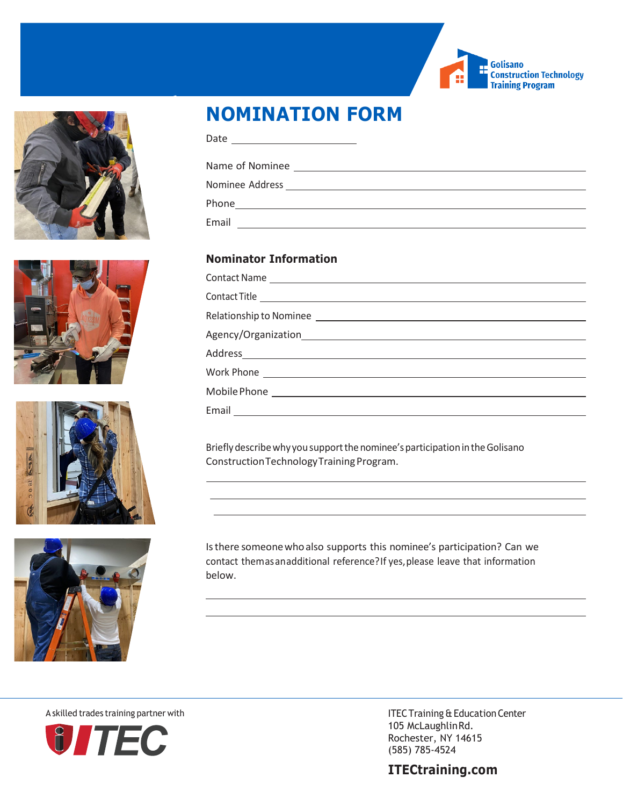









# **NOMINATION FORM**

| Date |  |
|------|--|
|      |  |

Name of Nominee

Nominee Address

Phone **Phone Phone Phone Phone Phone Phone Phone Phone Phone Phone Phone Phone Phone Phone Phone Phone Phone Phone Phone Phone Phone Phone Phone Phone Phone Phone Phone**

Email

### **Nominator Information**

| Relationship to Nominee |
|-------------------------|
|                         |
|                         |
|                         |
|                         |
| Email                   |

Briefly describe why you support the nominee's participation in the Golisano Construction Technology Training Program.

Is there someone who also supports this nominee's participation? Can we contact themasan additional reference?If yes,please leave that information below.

**O** TEC

A skilled trades training partner with ITEC Training & Education Center 105 McLaughlinRd. Rochester, NY 14615 (585) 785-4524

### **ITECtraining.com**